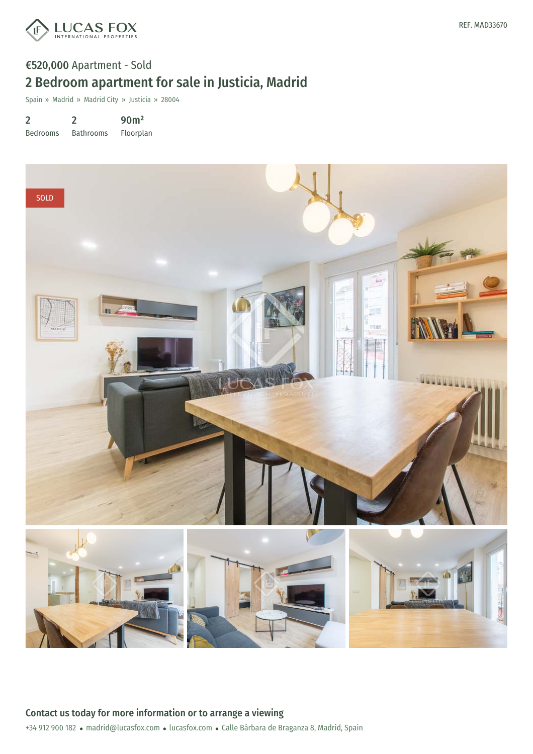

## €520,000 Apartment - Sold 2 Bedroom apartment for sale in Justicia, Madrid

Spain » Madrid » Madrid City » Justicia » 28004

2 Bedrooms 2 Bathrooms 90m² Floorplan

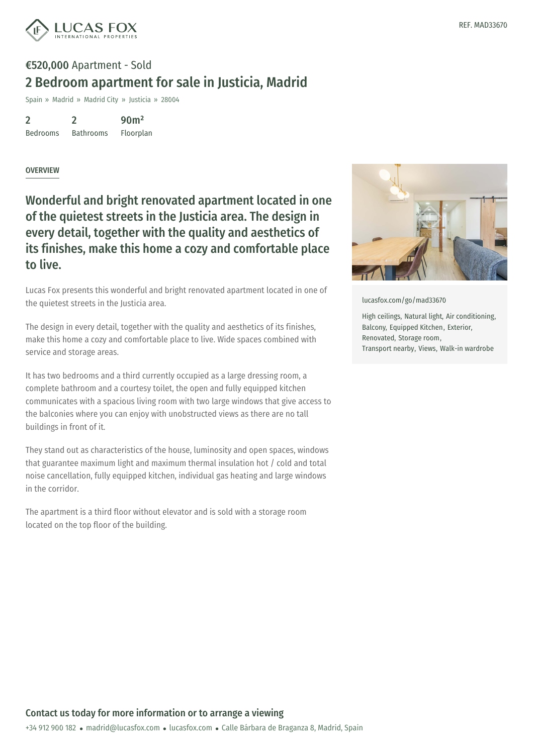

## €520,000 Apartment - Sold 2 Bedroom apartment for sale in Justicia, Madrid

Spain » Madrid » Madrid City » Justicia » 28004

2 Bedrooms 2 Bathrooms 90m²

Floorplan

## **OVERVIEW**

Wonderful and bright renovated apartment located in one of the quietest streets in the Justicia area. The design in every detail, together with the quality and aesthetics of its finishes, make this home a cozy and comfortable place to live.

Lucas Fox presents this wonderful and bright renovated apartment located in one of the quietest streets in the Justicia area.

The design in every detail, together with the quality and aesthetics of its finishes, make this home a cozy and comfortable place to live. Wide spaces combined with service and storage areas.

It has two bedrooms and a third currently occupied as a large dressing room, a complete bathroom and a courtesy toilet, the open and fully equipped kitchen communicates with a spacious living room with two large windows that give access to the balconies where you can enjoy with unobstructed views as there are no tall buildings in front of it.

They stand out as characteristics of the house, luminosity and open spaces, windows that guarantee maximum light and maximum thermal insulation hot / cold and total noise cancellation, fully equipped kitchen, individual gas heating and large windows in the corridor.

The apartment is a third floor without elevator and is sold with a storage room located on the top floor of the building.



[lucasfox.com/go/mad33670](https://www.lucasfox.com/go/mad33670)

High ceilings, Natural light, Air conditioning, Balcony, Equipped Kitchen, Exterior, Renovated, Storage room, Transport nearby, Views, Walk-in wardrobe